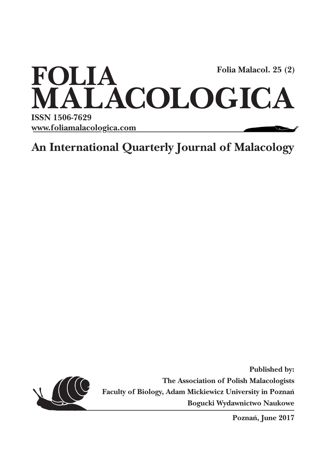

**An International Quarterly Journal of Malacology**



**Published by: The Association of Polish Malacologists Faculty of Biology, Adam Mickiewicz University in Poznań Bogucki Wydawnictwo Naukowe**

**Poznań, June 2017**